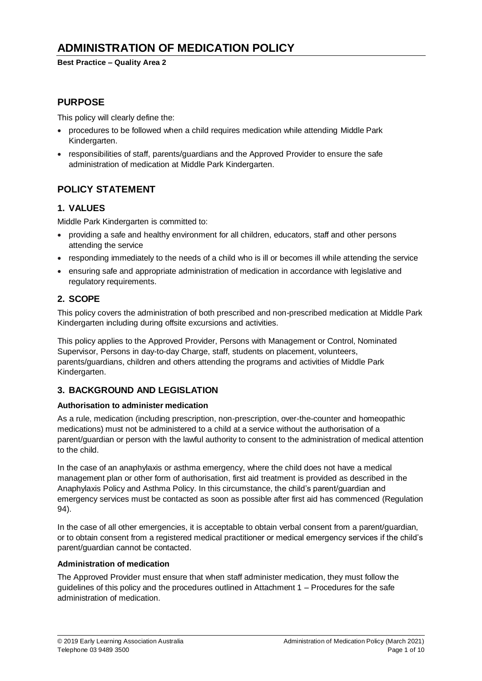**Best Practice – Quality Area 2**

## **PURPOSE**

This policy will clearly define the:

- procedures to be followed when a child requires medication while attending Middle Park Kindergarten.
- responsibilities of staff, parents/guardians and the Approved Provider to ensure the safe administration of medication at Middle Park Kindergarten.

# **POLICY STATEMENT**

### **1. VALUES**

Middle Park Kindergarten is committed to:

- providing a safe and healthy environment for all children, educators, staff and other persons attending the service
- responding immediately to the needs of a child who is ill or becomes ill while attending the service
- ensuring safe and appropriate administration of medication in accordance with legislative and regulatory requirements.

### **2. SCOPE**

This policy covers the administration of both prescribed and non-prescribed medication at Middle Park Kindergarten including during offsite excursions and activities.

This policy applies to the Approved Provider, Persons with Management or Control, Nominated Supervisor, Persons in day-to-day Charge, staff, students on placement, volunteers, parents/guardians, children and others attending the programs and activities of Middle Park Kindergarten.

## **3. BACKGROUND AND LEGISLATION**

### **Authorisation to administer medication**

As a rule, medication (including prescription, non-prescription, over-the-counter and homeopathic medications) must not be administered to a child at a service without the authorisation of a parent/guardian or person with the lawful authority to consent to the administration of medical attention to the child.

In the case of an anaphylaxis or asthma emergency, where the child does not have a medical management plan or other form of authorisation, first aid treatment is provided as described in the Anaphylaxis Policy and Asthma Policy. In this circumstance, the child's parent/guardian and emergency services must be contacted as soon as possible after first aid has commenced (Regulation 94).

In the case of all other emergencies, it is acceptable to obtain verbal consent from a parent/guardian, or to obtain consent from a registered medical practitioner or medical emergency services if the child's parent/guardian cannot be contacted.

#### **Administration of medication**

The Approved Provider must ensure that when staff administer medication, they must follow the guidelines of this policy and the procedures outlined in Attachment 1 – Procedures for the safe administration of medication.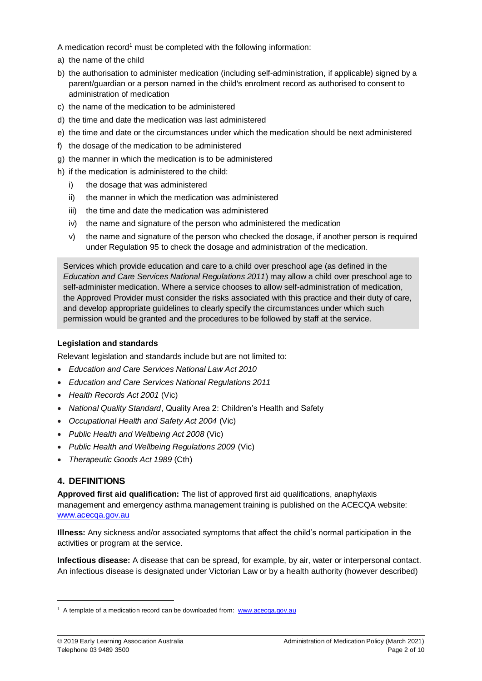A medication record<sup>1</sup> must be completed with the following information:

- a) the name of the child
- b) the authorisation to administer medication (including self-administration, if applicable) signed by a parent/guardian or a person named in the child's enrolment record as authorised to consent to administration of medication
- c) the name of the medication to be administered
- d) the time and date the medication was last administered
- e) the time and date or the circumstances under which the medication should be next administered
- f) the dosage of the medication to be administered
- g) the manner in which the medication is to be administered
- h) if the medication is administered to the child:
	- i) the dosage that was administered
	- ii) the manner in which the medication was administered
	- iii) the time and date the medication was administered
	- iv) the name and signature of the person who administered the medication
	- v) the name and signature of the person who checked the dosage, if another person is required under Regulation 95 to check the dosage and administration of the medication.

Services which provide education and care to a child over preschool age (as defined in the *Education and Care Services National Regulations 2011*) may allow a child over preschool age to self-administer medication. Where a service chooses to allow self-administration of medication, the Approved Provider must consider the risks associated with this practice and their duty of care, and develop appropriate guidelines to clearly specify the circumstances under which such permission would be granted and the procedures to be followed by staff at the service.

#### **Legislation and standards**

Relevant legislation and standards include but are not limited to:

- *Education and Care Services National Law Act 2010*
- *Education and Care Services National Regulations 2011*
- *Health Records Act 2001* (Vic)
- *National Quality Standard*, Quality Area 2: Children's Health and Safety
- *Occupational Health and Safety Act 2004* (Vic)
- *Public Health and Wellbeing Act 2008* (Vic)
- *Public Health and Wellbeing Regulations 2009* (Vic)
- *Therapeutic Goods Act 1989* (Cth)

### **4. DEFINITIONS**

 $\overline{a}$ 

**Approved first aid qualification:** The list of approved first aid qualifications, anaphylaxis management and emergency asthma management training is published on the ACECQA website: [www.acecqa.gov.au](http://www.acecqa.gov.au/)

**Illness:** Any sickness and/or associated symptoms that affect the child's normal participation in the activities or program at the service.

**Infectious disease:** A disease that can be spread, for example, by air, water or interpersonal contact. An infectious disease is designated under Victorian Law or by a health authority (however described)

<sup>&</sup>lt;sup>1</sup> A template of a medication record can be downloaded from: [www.acecqa.gov.au](http://www.acecqa.gov.au/)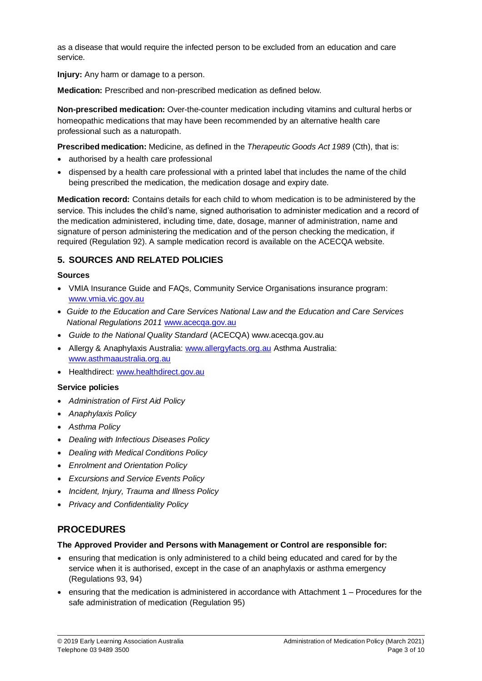as a disease that would require the infected person to be excluded from an education and care service.

**Injury:** Any harm or damage to a person.

**Medication:** Prescribed and non-prescribed medication as defined below.

**Non-prescribed medication:** Over-the-counter medication including vitamins and cultural herbs or homeopathic medications that may have been recommended by an alternative health care professional such as a naturopath.

**Prescribed medication:** Medicine, as defined in the *Therapeutic Goods Act 1989* (Cth), that is:

- authorised by a health care professional
- dispensed by a health care professional with a printed label that includes the name of the child being prescribed the medication, the medication dosage and expiry date.

**Medication record:** Contains details for each child to whom medication is to be administered by the service. This includes the child's name, signed authorisation to administer medication and a record of the medication administered, including time, date, dosage, manner of administration, name and signature of person administering the medication and of the person checking the medication, if required (Regulation 92). A sample medication record is available on the ACECQA website.

### **5. SOURCES AND RELATED POLICIES**

#### **Sources**

- VMIA Insurance Guide and FAQs, Community Service Organisations insurance program: [www.vmia.vic.gov.au](http://www.vmia.vic.gov.au/)
- *Guide to the Education and Care Services National Law and the Education and Care Services National Regulations 2011* [www.acecqa.gov.au](http://www.acecqa.gov.au/)
- *Guide to the National Quality Standard* (ACECQA) www.acecqa.gov.au
- Allergy & Anaphylaxis Australia: [www.allergyfacts.org.au](http://www.allergyfacts.org.au/) Asthma Australia: [www.asthmaaustralia.org.au](http://www.asthmaaustralia.org.au/)
- Healthdirect: [www.healthdirect.gov.au](http://www.healthdirect.gov.au/)

#### **Service policies**

- *Administration of First Aid Policy*
- *Anaphylaxis Policy*
- *Asthma Policy*
- *Dealing with Infectious Diseases Policy*
- *Dealing with Medical Conditions Policy*
- *Enrolment and Orientation Policy*
- *Excursions and Service Events Policy*
- *Incident, Injury, Trauma and Illness Policy*
- *Privacy and Confidentiality Policy*

### **PROCEDURES**

#### **The Approved Provider and Persons with Management or Control are responsible for:**

- ensuring that medication is only administered to a child being educated and cared for by the service when it is authorised, except in the case of an anaphylaxis or asthma emergency (Regulations 93, 94)
- ensuring that the medication is administered in accordance with Attachment 1 Procedures for the safe administration of medication (Regulation 95)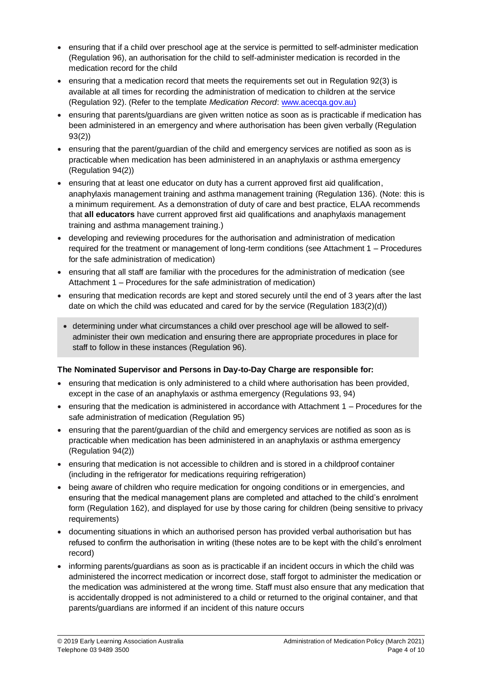- ensuring that if a child over preschool age at the service is permitted to self-administer medication (Regulation 96), an authorisation for the child to self-administer medication is recorded in the medication record for the child
- $\bullet$  ensuring that a medication record that meets the requirements set out in Regulation 92(3) is available at all times for recording the administration of medication to children at the service (Regulation 92). (Refer to the template *Medication Record*[: www.acecqa.gov.au\)](http://www.acecqa.gov.au/)
- ensuring that parents/guardians are given written notice as soon as is practicable if medication has been administered in an emergency and where authorisation has been given verbally (Regulation 93(2))
- ensuring that the parent/guardian of the child and emergency services are notified as soon as is practicable when medication has been administered in an anaphylaxis or asthma emergency (Regulation 94(2))
- ensuring that at least one educator on duty has a current approved first aid qualification, anaphylaxis management training and asthma management training (Regulation 136). (Note: this is a minimum requirement. As a demonstration of duty of care and best practice, ELAA recommends that **all educators** have current approved first aid qualifications and anaphylaxis management training and asthma management training.)
- developing and reviewing procedures for the authorisation and administration of medication required for the treatment or management of long-term conditions (see Attachment 1 – Procedures for the safe administration of medication)
- ensuring that all staff are familiar with the procedures for the administration of medication (see Attachment 1 – Procedures for the safe administration of medication)
- ensuring that medication records are kept and stored securely until the end of 3 years after the last date on which the child was educated and cared for by the service (Regulation 183(2)(d))
- determining under what circumstances a child over preschool age will be allowed to selfadminister their own medication and ensuring there are appropriate procedures in place for staff to follow in these instances (Regulation 96).

#### **The Nominated Supervisor and Persons in Day-to-Day Charge are responsible for:**

- ensuring that medication is only administered to a child where authorisation has been provided, except in the case of an anaphylaxis or asthma emergency (Regulations 93, 94)
- ensuring that the medication is administered in accordance with Attachment 1 Procedures for the safe administration of medication (Regulation 95)
- ensuring that the parent/guardian of the child and emergency services are notified as soon as is practicable when medication has been administered in an anaphylaxis or asthma emergency (Regulation 94(2))
- ensuring that medication is not accessible to children and is stored in a childproof container (including in the refrigerator for medications requiring refrigeration)
- being aware of children who require medication for ongoing conditions or in emergencies, and ensuring that the medical management plans are completed and attached to the child's enrolment form (Regulation 162), and displayed for use by those caring for children (being sensitive to privacy requirements)
- documenting situations in which an authorised person has provided verbal authorisation but has refused to confirm the authorisation in writing (these notes are to be kept with the child's enrolment record)
- informing parents/guardians as soon as is practicable if an incident occurs in which the child was administered the incorrect medication or incorrect dose, staff forgot to administer the medication or the medication was administered at the wrong time. Staff must also ensure that any medication that is accidentally dropped is not administered to a child or returned to the original container, and that parents/guardians are informed if an incident of this nature occurs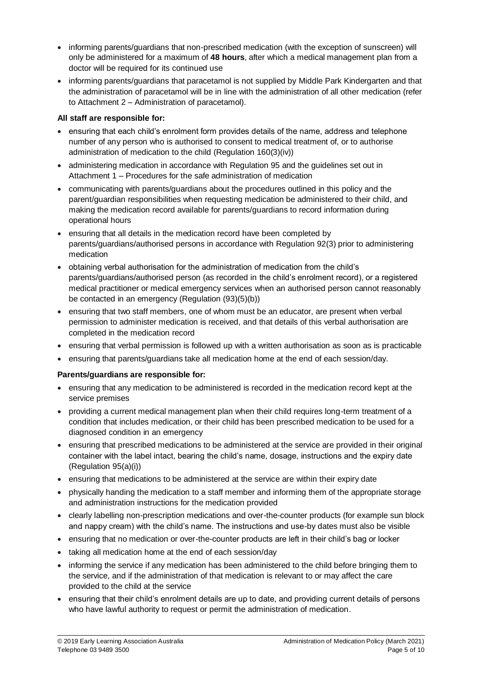- informing parents/guardians that non-prescribed medication (with the exception of sunscreen) will only be administered for a maximum of **48 hours**, after which a medical management plan from a doctor will be required for its continued use
- informing parents/guardians that paracetamol is not supplied by Middle Park Kindergarten and that the administration of paracetamol will be in line with the administration of all other medication (refer to Attachment 2 – Administration of paracetamol).

### **All staff are responsible for:**

- ensuring that each child's enrolment form provides details of the name, address and telephone number of any person who is authorised to consent to medical treatment of, or to authorise administration of medication to the child (Regulation 160(3)(iv))
- administering medication in accordance with Regulation 95 and the guidelines set out in Attachment 1 – Procedures for the safe administration of medication
- communicating with parents/guardians about the procedures outlined in this policy and the parent/guardian responsibilities when requesting medication be administered to their child, and making the medication record available for parents/guardians to record information during operational hours
- ensuring that all details in the medication record have been completed by parents/guardians/authorised persons in accordance with Regulation 92(3) prior to administering medication
- obtaining verbal authorisation for the administration of medication from the child's parents/guardians/authorised person (as recorded in the child's enrolment record), or a registered medical practitioner or medical emergency services when an authorised person cannot reasonably be contacted in an emergency (Regulation (93)(5)(b))
- ensuring that two staff members, one of whom must be an educator, are present when verbal permission to administer medication is received, and that details of this verbal authorisation are completed in the medication record
- ensuring that verbal permission is followed up with a written authorisation as soon as is practicable
- ensuring that parents/guardians take all medication home at the end of each session/day.

#### **Parents/guardians are responsible for:**

- ensuring that any medication to be administered is recorded in the medication record kept at the service premises
- providing a current medical management plan when their child requires long-term treatment of a condition that includes medication, or their child has been prescribed medication to be used for a diagnosed condition in an emergency
- ensuring that prescribed medications to be administered at the service are provided in their original container with the label intact, bearing the child's name, dosage, instructions and the expiry date (Regulation 95(a)(i))
- ensuring that medications to be administered at the service are within their expiry date
- physically handing the medication to a staff member and informing them of the appropriate storage and administration instructions for the medication provided
- clearly labelling non-prescription medications and over-the-counter products (for example sun block and nappy cream) with the child's name. The instructions and use-by dates must also be visible
- ensuring that no medication or over-the-counter products are left in their child's bag or locker
- taking all medication home at the end of each session/day
- informing the service if any medication has been administered to the child before bringing them to the service, and if the administration of that medication is relevant to or may affect the care provided to the child at the service
- ensuring that their child's enrolment details are up to date, and providing current details of persons who have lawful authority to request or permit the administration of medication.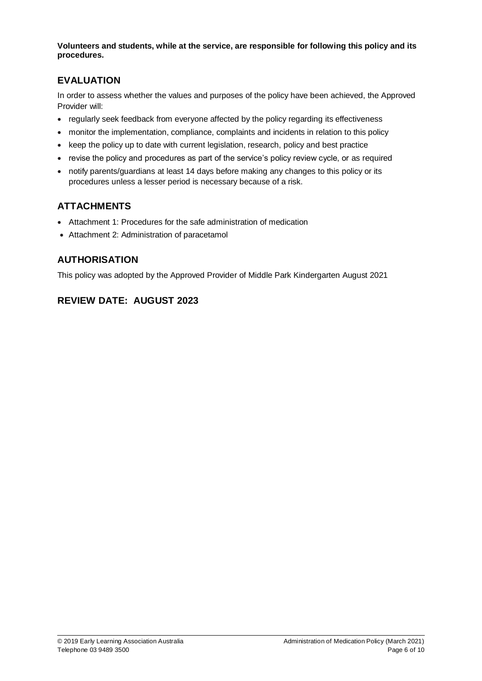**Volunteers and students, while at the service, are responsible for following this policy and its procedures.**

## **EVALUATION**

In order to assess whether the values and purposes of the policy have been achieved, the Approved Provider will:

- regularly seek feedback from everyone affected by the policy regarding its effectiveness
- monitor the implementation, compliance, complaints and incidents in relation to this policy
- keep the policy up to date with current legislation, research, policy and best practice
- revise the policy and procedures as part of the service's policy review cycle, or as required
- notify parents/guardians at least 14 days before making any changes to this policy or its procedures unless a lesser period is necessary because of a risk.

# **ATTACHMENTS**

- Attachment 1: Procedures for the safe administration of medication
- Attachment 2: Administration of paracetamol

# **AUTHORISATION**

This policy was adopted by the Approved Provider of Middle Park Kindergarten August 2021

# **REVIEW DATE: AUGUST 2023**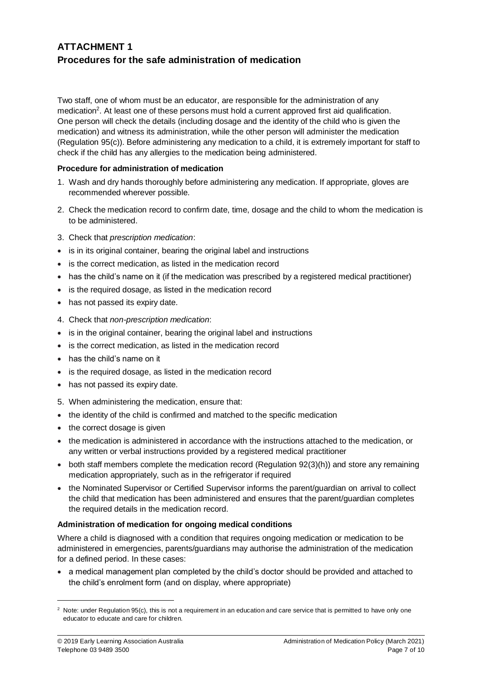## **ATTACHMENT 1 Procedures for the safe administration of medication**

Two staff, one of whom must be an educator, are responsible for the administration of any medication<sup>2</sup>. At least one of these persons must hold a current approved first aid qualification. One person will check the details (including dosage and the identity of the child who is given the medication) and witness its administration, while the other person will administer the medication (Regulation 95(c)). Before administering any medication to a child, it is extremely important for staff to check if the child has any allergies to the medication being administered.

#### **Procedure for administration of medication**

- 1. Wash and dry hands thoroughly before administering any medication. If appropriate, gloves are recommended wherever possible.
- 2. Check the medication record to confirm date, time, dosage and the child to whom the medication is to be administered.
- 3. Check that *prescription medication*:
- is in its original container, bearing the original label and instructions
- is the correct medication, as listed in the medication record
- has the child's name on it (if the medication was prescribed by a registered medical practitioner)
- is the required dosage, as listed in the medication record
- has not passed its expiry date.
- 4. Check that *non-prescription medication*:
- is in the original container, bearing the original label and instructions
- is the correct medication, as listed in the medication record
- has the child's name on it
- is the required dosage, as listed in the medication record
- has not passed its expiry date.
- 5. When administering the medication, ensure that:
- the identity of the child is confirmed and matched to the specific medication
- the correct dosage is given
- the medication is administered in accordance with the instructions attached to the medication, or any written or verbal instructions provided by a registered medical practitioner
- both staff members complete the medication record (Regulation 92(3)(h)) and store any remaining medication appropriately, such as in the refrigerator if required
- the Nominated Supervisor or Certified Supervisor informs the parent/guardian on arrival to collect the child that medication has been administered and ensures that the parent/guardian completes the required details in the medication record.

#### **Administration of medication for ongoing medical conditions**

Where a child is diagnosed with a condition that requires ongoing medication or medication to be administered in emergencies, parents/guardians may authorise the administration of the medication for a defined period. In these cases:

• a medical management plan completed by the child's doctor should be provided and attached to the child's enrolment form (and on display, where appropriate)

 $\overline{a}$ 

<sup>&</sup>lt;sup>2</sup> Note: under Regulation 95(c), this is not a requirement in an education and care service that is permitted to have only one educator to educate and care for children.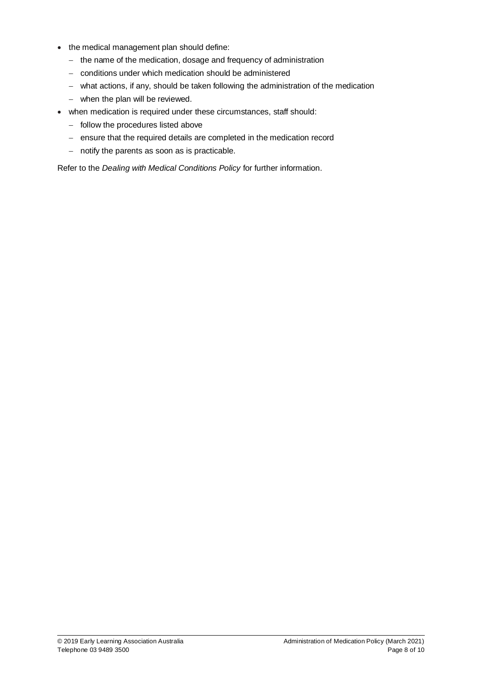- the medical management plan should define:
	- the name of the medication, dosage and frequency of administration
	- conditions under which medication should be administered
	- what actions, if any, should be taken following the administration of the medication
	- when the plan will be reviewed.
- when medication is required under these circumstances, staff should:
	- $-$  follow the procedures listed above
	- ensure that the required details are completed in the medication record
	- $-$  notify the parents as soon as is practicable.

Refer to the *Dealing with Medical Conditions Policy* for further information.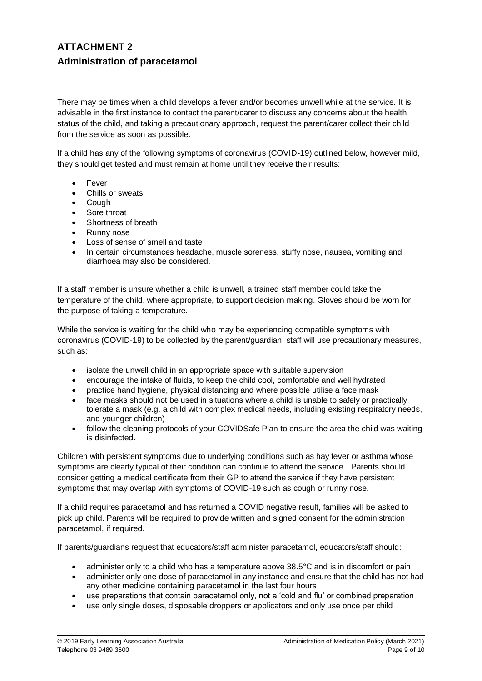# **ATTACHMENT 2 Administration of paracetamol**

There may be times when a child develops a fever and/or becomes unwell while at the service. It is advisable in the first instance to contact the parent/carer to discuss any concerns about the health status of the child, and taking a precautionary approach, request the parent/carer collect their child from the service as soon as possible.

If a child has any of the following symptoms of coronavirus (COVID-19) outlined below, however mild, they should get tested and must remain at home until they receive their results:

- Fever
- Chills or sweats
- Cough
- Sore throat
- Shortness of breath
- Runny nose
- Loss of sense of smell and taste
- In certain circumstances headache, muscle soreness, stuffy nose, nausea, vomiting and diarrhoea may also be considered.

If a staff member is unsure whether a child is unwell, a trained staff member could take the temperature of the child, where appropriate, to support decision making. Gloves should be worn for the purpose of taking a temperature.

While the service is waiting for the child who may be experiencing compatible symptoms with coronavirus (COVID-19) to be collected by the parent/guardian, staff will use precautionary measures, such as:

- isolate the unwell child in an appropriate space with suitable supervision
- encourage the intake of fluids, to keep the child cool, comfortable and well hydrated
- practice hand hygiene, physical distancing and where possible utilise a face mask
- face masks should not be used in situations where a child is unable to safely or practically tolerate a mask (e.g. a child with complex medical needs, including existing respiratory needs, and younger children)
- follow the cleaning protocols of your COVIDSafe Plan to ensure the area the child was waiting is disinfected.

Children with persistent symptoms due to underlying conditions such as hay fever or asthma whose symptoms are clearly typical of their condition can continue to attend the service. Parents should consider getting a medical certificate from their GP to attend the service if they have persistent symptoms that may overlap with symptoms of COVID-19 such as cough or runny nose.

If a child requires paracetamol and has returned a COVID negative result, families will be asked to pick up child. Parents will be required to provide written and signed consent for the administration paracetamol, if required.

If parents/guardians request that educators/staff administer paracetamol, educators/staff should:

- administer only to a child who has a temperature above 38.5°C and is in discomfort or pain
- administer only one dose of paracetamol in any instance and ensure that the child has not had any other medicine containing paracetamol in the last four hours
- use preparations that contain paracetamol only, not a 'cold and flu' or combined preparation
- use only single doses, disposable droppers or applicators and only use once per child